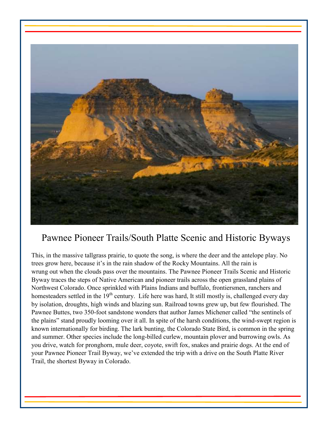

# Pawnee Pioneer Trails/South Platte Scenic and Historic Byways

This, in the massive tallgrass prairie, to quote the song, is where the deer and the antelope play. No trees grow here, because it's in the rain shadow of the Rocky Mountains. All the rain is wrung out when the clouds pass over the mountains. The Pawnee Pioneer Trails Scenic and Historic Byway traces the steps of Native American and pioneer trails across the open grassland plains of Northwest Colorado. Once sprinkled with Plains Indians and buffalo, frontiersmen, ranchers and homesteaders settled in the 19<sup>th</sup> century. Life here was hard, It still mostly is, challenged every day by isolation, droughts, high winds and blazing sun. Railroad towns grew up, but few flourished. The Pawnee Buttes, two 350-foot sandstone wonders that author James Michener called "the sentinels of the plains" stand proudly looming over it all. In spite of the harsh conditions, the wind-swept region is known internationally for birding. The lark bunting, the Colorado State Bird, is common in the spring and summer. Other species include the long-billed curlew, mountain plover and burrowing owls. As you drive, watch for pronghorn, mule deer, coyote, swift fox, snakes and prairie dogs. At the end of your Pawnee Pioneer Trail Byway, we've extended the trip with a drive on the South Platte River Trail, the shortest Byway in Colorado.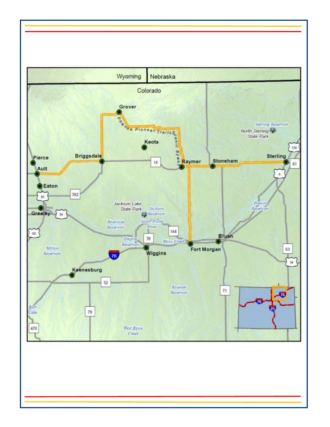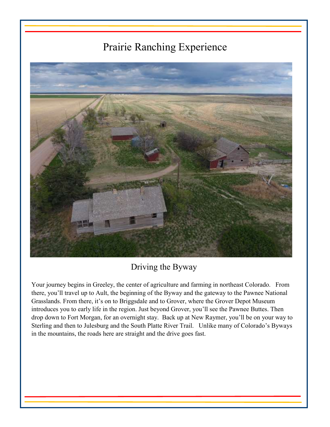# Prairie Ranching Experience



Driving the Byway

Your journey begins in Greeley, the center of agriculture and farming in northeast Colorado. From there, you'll travel up to Ault, the beginning of the Byway and the gateway to the Pawnee National Grasslands. From there, it's on to Briggsdale and to Grover, where the Grover Depot Museum introduces you to early life in the region. Just beyond Grover, you'll see the Pawnee Buttes. Then drop down to Fort Morgan, for an overnight stay. Back up at New Raymer, you'll be on your way to Sterling and then to Julesburg and the South Platte River Trail. Unlike many of Colorado's Byways in the mountains, the roads here are straight and the drive goes fast.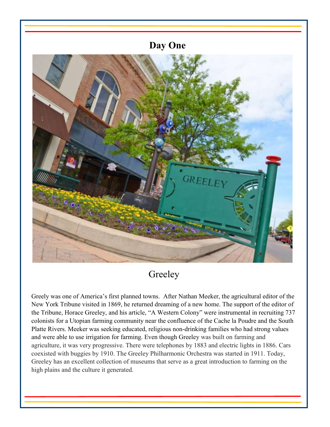

# Greeley

Greely was one of America's first planned towns. After Nathan Meeker, the agricultural editor of the New York Tribune visited in 1869, he returned dreaming of a new home. The support of the editor of the Tribune, Horace Greeley, and his article, "A Western Colony" were instrumental in recruiting 737 colonists for a Utopian farming community near the confluence of the Cache la Poudre and the South Platte Rivers. Meeker was seeking educated, religious non-drinking families who had strong values and were able to use irrigation for farming. Even though Greeley was built on farming and agriculture, it was very progressive. There were telephones by 1883 and electric lights in 1886. Cars coexisted with buggies by 1910. The Greeley Philharmonic Orchestra was started in 1911. Today, Greeley has an excellent collection of museums that serve as a great introduction to farming on the high plains and the culture it generated.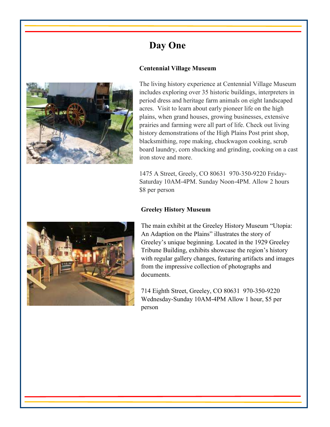# **Day One**

### **Centennial Village Museum**



The living history experience at Centennial Village Museum includes exploring over 35 historic buildings, interpreters in period dress and heritage farm animals on eight landscaped acres. Visit to learn about early pioneer life on the high plains, when grand houses, growing businesses, extensive prairies and farming were all part of life. Check out living history demonstrations of the High Plains Post print shop, blacksmithing, rope making, chuckwagon cooking, scrub board laundry, corn shucking and grinding, cooking on a cast iron stove and more.

1475 A Street, Greely, CO 80631 970-350-9220 Friday-Saturday 10AM-4PM. Sunday Noon-4PM. Allow 2 hours \$8 per person

### **Greeley History Museum**



The main exhibit at the Greeley History Museum "Utopia: An Adaption on the Plains" illustrates the story of Greeley's unique beginning. Located in the 1929 Greeley Tribune Building, exhibits showcase the region's history with regular gallery changes, featuring artifacts and images from the impressive collection of photographs and documents.

714 Eighth Street, Greeley, CO 80631 970-350-9220 Wednesday-Sunday 10AM-4PM Allow 1 hour, \$5 per person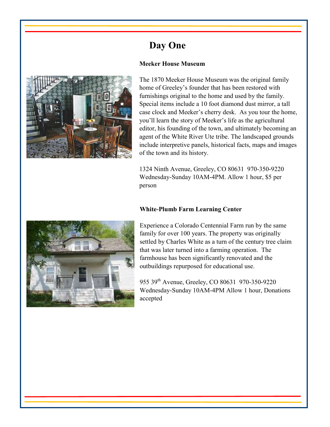# **Day One**

### **Meeker House Museum**



The 1870 Meeker House Museum was the original family home of Greeley's founder that has been restored with furnishings original to the home and used by the family. Special items include a 10 foot diamond dust mirror, a tall case clock and Meeker's cherry desk. As you tour the home, you'll learn the story of Meeker's life as the agricultural editor, his founding of the town, and ultimately becoming an agent of the White River Ute tribe. The landscaped grounds include interpretive panels, historical facts, maps and images of the town and its history.

1324 Ninth Avenue, Greeley, CO 80631 970-350-9220 Wednesday-Sunday 10AM-4PM. Allow 1 hour, \$5 per person

### **White-Plumb Farm Learning Center**



Experience a Colorado Centennial Farm run by the same family for over 100 years. The property was originally settled by Charles White as a turn of the century tree claim that was later turned into a farming operation. The farmhouse has been significantly renovated and the outbuildings repurposed for educational use.

955 39th Avenue, Greeley, CO 80631 970-350-9220 Wednesday-Sunday 10AM-4PM Allow 1 hour, Donations accepted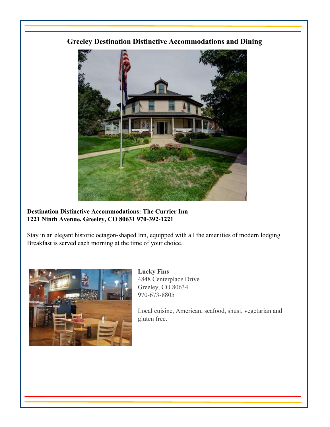### **Greeley Destination Distinctive Accommodations and Dining**



### **Destination Distinctive Accommodations: The Currier Inn 1221 Ninth Avenue, Greeley, CO 80631 970-392-1221**

Stay in an elegant historic octagon-shaped Inn, equipped with all the amenities of modern lodging. Breakfast is served each morning at the time of your choice.



**Lucky Fins**  4848 Centerplace Drive Greeley, CO 80634 970-673-8805

Local cuisine, American, seafood, shusi, vegetarian and gluten free.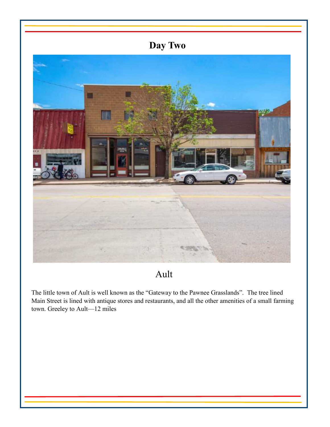Ault

The little town of Ault is well known as the "Gateway to the Pawnee Grasslands". The tree lined Main Street is lined with antique stores and restaurants, and all the other amenities of a small farming town. Greeley to Ault—12 miles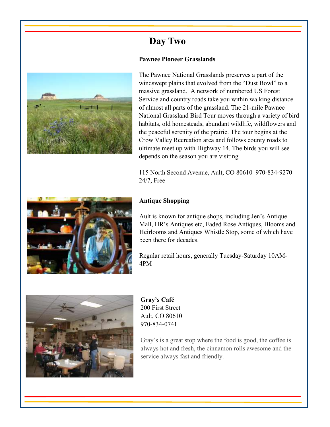

### **Pawnee Pioneer Grasslands**

The Pawnee National Grasslands preserves a part of the windswept plains that evolved from the "Dust Bowl" to a massive grassland. A network of numbered US Forest Service and country roads take you within walking distance of almost all parts of the grassland. The 21-mile Pawnee National Grassland Bird Tour moves through a variety of bird habitats, old homesteads, abundant wildlife, wildflowers and the peaceful serenity of the prairie. The tour begins at the Crow Valley Recreation area and follows county roads to ultimate meet up with Highway 14. The birds you will see depends on the season you are visiting.

115 North Second Avenue, Ault, CO 80610 970-834-9270 24/7, Free



### **Antique Shopping**

Ault is known for antique shops, including Jen's Antique Mall, HR's Antiques etc, Faded Rose Antiques, Blooms and Heirlooms and Antiques Whistle Stop, some of which have been there for decades.

Regular retail hours, generally Tuesday-Saturday 10AM-4PM



**Gray's Café**  200 First Street Ault, CO 80610 970-834-0741

Gray's is a great stop where the food is good, the coffee is always hot and fresh, the cinnamon rolls awesome and the service always fast and friendly.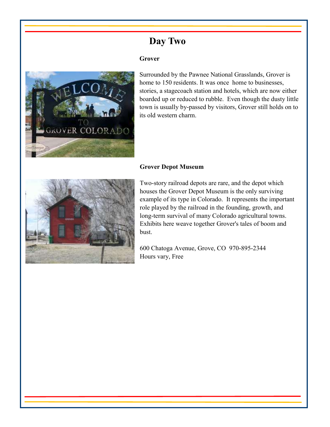### **Grover**



Surrounded by the Pawnee National Grasslands, Grover is home to 150 residents. It was once home to businesses, stories, a stagecoach station and hotels, which are now either boarded up or reduced to rubble. Even though the dusty little town is usually by-passed by visitors, Grover still holds on to its old western charm.

### **Grover Depot Museum**



Two-story railroad depots are rare, and the depot which houses the Grover Depot Museum is the only surviving example of its type in Colorado. It represents the important role played by the railroad in the founding, growth, and long-term survival of many Colorado agricultural towns. Exhibits here weave together Grover's tales of boom and bust.

600 Chatoga Avenue, Grove, CO 970-895-2344 Hours vary, Free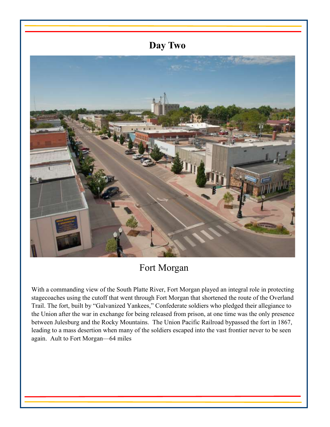

# Fort Morgan

With a commanding view of the South Platte River, Fort Morgan played an integral role in protecting stagecoaches using the cutoff that went through Fort Morgan that shortened the route of the Overland Trail. The fort, built by "Galvanized Yankees," Confederate soldiers who pledged their allegiance to the Union after the war in exchange for being released from prison, at one time was the only presence between Julesburg and the Rocky Mountains. The Union Pacific Railroad bypassed the fort in 1867, leading to a mass desertion when many of the soldiers escaped into the vast frontier never to be seen again. Ault to Fort Morgan—64 miles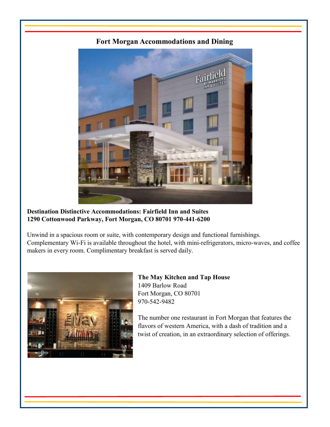### **Fort Morgan Accommodations and Dining**



### **Destination Distinctive Accommodations: Fairfield Inn and Suites 1290 Cottonwood Parkway, Fort Morgan, CO 80701 970-441-6200**

Unwind in a spacious room or suite, with contemporary design and functional furnishings. Complementary Wi-Fi is available throughout the hotel, with mini-refrigerators, micro-waves, and coffee makers in every room. Complimentary breakfast is served daily.



**The May Kitchen and Tap House** 1409 Barlow Road Fort Morgan, CO 80701 970-542-9482

The number one restaurant in Fort Morgan that features the flavors of western America, with a dash of tradition and a twist of creation, in an extraordinary selection of offerings.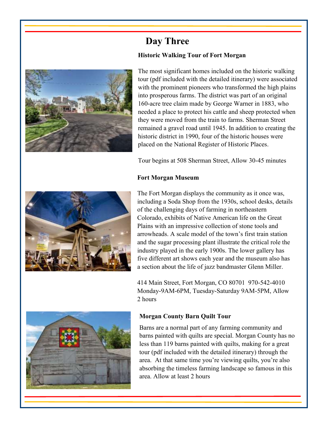

The most significant homes included on the historic walking tour (pdf included with the detailed itinerary) were associated with the prominent pioneers who transformed the high plains into prosperous farms. The district was part of an original 160-acre tree claim made by George Warner in 1883, who needed a place to protect his cattle and sheep protected when they were moved from the train to farms. Sherman Street remained a gravel road until 1945. In addition to creating the historic district in 1990, four of the historic houses were placed on the National Register of Historic Places.

Tour begins at 508 Sherman Street, Allow 30-45 minutes

### **Fort Morgan Museum**

**Day Three**

**Historic Walking Tour of Fort Morgan** 



The Fort Morgan displays the community as it once was, including a Soda Shop from the 1930s, school desks, details of the challenging days of farming in northeastern Colorado, exhibits of Native American life on the Great Plains with an impressive collection of stone tools and arrowheads. A scale model of the town's first train station and the sugar processing plant illustrate the critical role the industry played in the early 1900s. The lower gallery has five different art shows each year and the museum also has a section about the life of jazz bandmaster Glenn Miller.

414 Main Street, Fort Morgan, CO 80701 970-542-4010 Monday-9AM-6PM, Tuesday-Saturday 9AM-5PM, Allow 2 hours



Barns are a normal part of any farming community and barns painted with quilts are special. Morgan County has no less than 119 barns painted with quilts, making for a great tour (pdf included with the detailed itinerary) through the area. At that same time you're viewing quilts, you're also absorbing the timeless farming landscape so famous in this area. Allow at least 2 hours

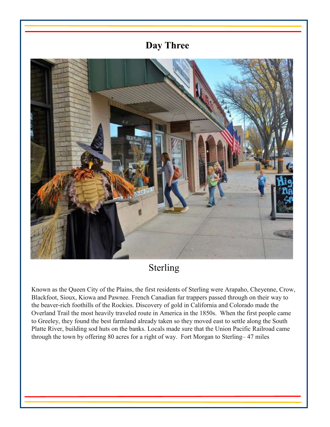# **Day Three**



# Sterling

Known as the Queen City of the Plains, the first residents of Sterling were Arapaho, Cheyenne, Crow, Blackfoot, Sioux, Kiowa and Pawnee. French Canadian fur trappers passed through on their way to the beaver-rich foothills of the Rockies. Discovery of gold in California and Colorado made the Overland Trail the most heavily traveled route in America in the 1850s. When the first people came to Greeley, they found the best farmland already taken so they moved east to settle along the South Platte River, building sod huts on the banks. Locals made sure that the Union Pacific Railroad came through the town by offering 80 acres for a right of way. Fort Morgan to Sterling– 47 miles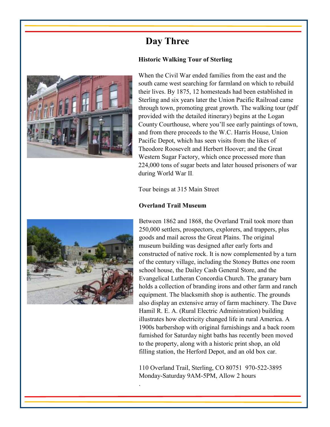

**Day Three**

### **Historic Walking Tour of Sterling**

When the Civil War ended families from the east and the south came west searching for farmland on which to rebuild their lives. By 1875, 12 homesteads had been established in Sterling and six years later the Union Pacific Railroad came through town, promoting great growth. The walking tour (pdf provided with the detailed itinerary) begins at the Logan County Courthouse, where you'll see early paintings of town, and from there proceeds to the W.C. Harris House, Union Pacific Depot, which has seen visits from the likes of Theodore Roosevelt and Herbert Hoover; and the Great Western Sugar Factory, which once processed more than 224,000 tons of sugar beets and later housed prisoners of war during World War II.

Tour beings at 315 Main Street

### **Overland Trail Museum**

.



Between 1862 and 1868, the Overland Trail took more than 250,000 settlers, prospectors, explorers, and trappers, plus goods and mail across the Great Plains. The original museum building was designed after early forts and constructed of native rock. It is now complemented by a turn of the century village, including the Stoney Buttes one room school house, the Dailey Cash General Store, and the Evangelical Lutheran Concordia Church. The granary barn holds a collection of branding irons and other farm and ranch equipment. The blacksmith shop is authentic. The grounds also display an extensive array of farm machinery. The Dave Hamil R. E. A. (Rural Electric Administration) building illustrates how electricity changed life in rural America. A 1900s barbershop with original furnishings and a back room furnished for Saturday night baths has recently been moved to the property, along with a historic print shop, an old filling station, the Herford Depot, and an old box car.

110 Overland Trail, Sterling, CO 80751 970-522-3895 Monday-Saturday 9AM-5PM, Allow 2 hours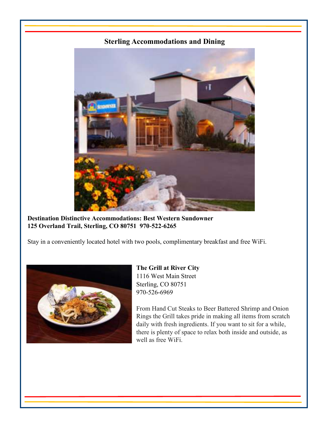### **Sterling Accommodations and Dining**



**Destination Distinctive Accommodations: Best Western Sundowner 125 Overland Trail, Sterling, CO 80751 970-522-6265**

Stay in a conveniently located hotel with two pools, complimentary breakfast and free WiFi.



**The Grill at River City**  1116 West Main Street Sterling, CO 80751 970-526-6969

From Hand Cut Steaks to Beer Battered Shrimp and Onion Rings the Grill takes pride in making all items from scratch daily with fresh ingredients. If you want to sit for a while, there is plenty of space to relax both inside and outside, as well as free WiFi.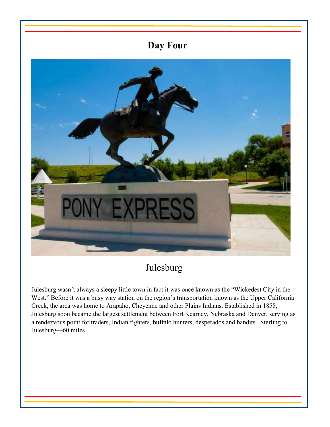# **Day Four**

# Julesburg

Julesburg wasn't always a sleepy little town in fact it was once known as the "Wickedest City in the West." Before it was a busy way station on the region's transportation known as the Upper California Creek, the area was home to Arapaho, Cheyenne and other Plains Indians. Established in 1858, Julesburg soon became the largest settlement between Fort Kearney, Nebraska and Denver, serving as a rendezvous point for traders, Indian fighters, buffalo hunters, desperados and bandits. Sterling to Julesburg—60 miles